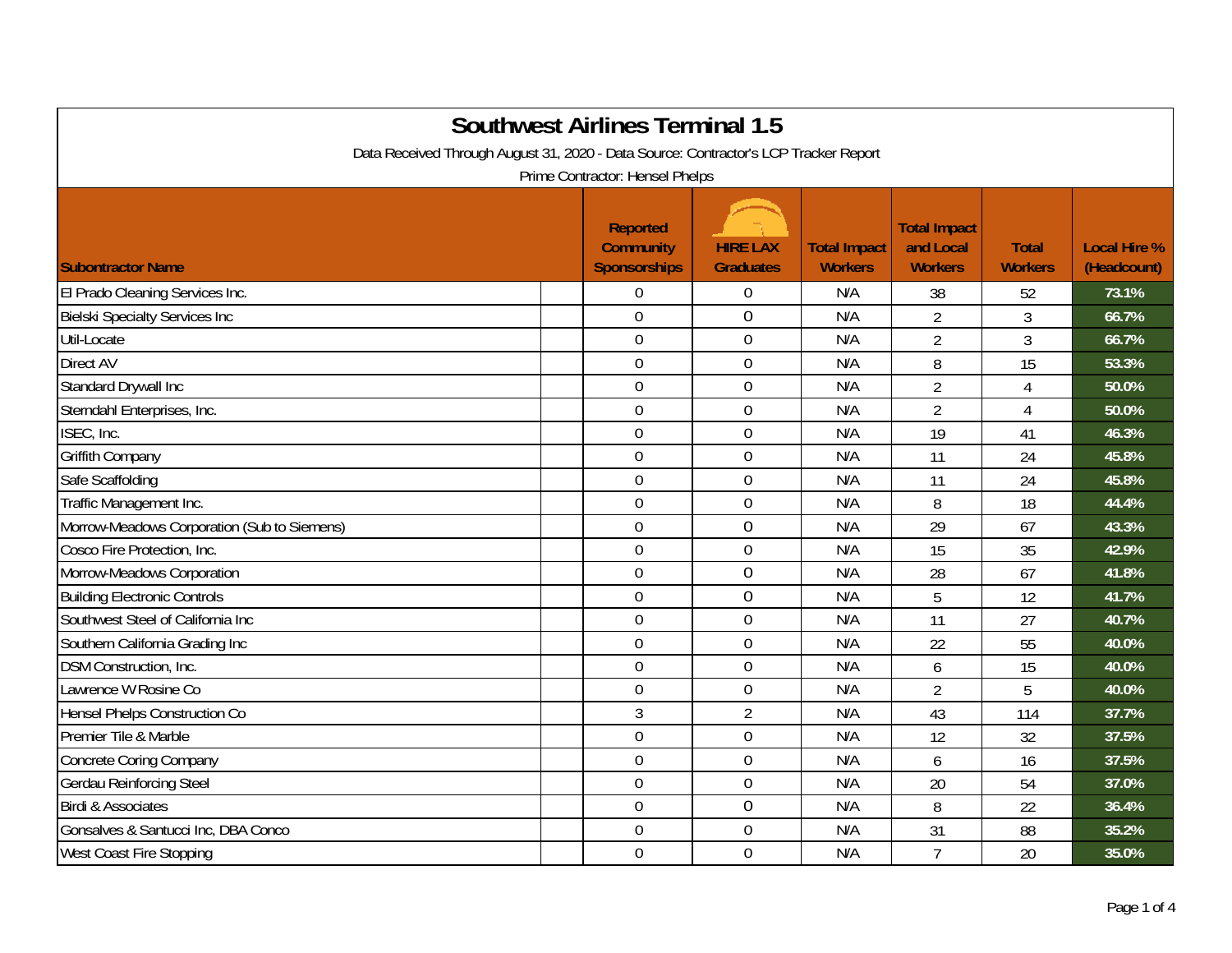| <b>Southwest Airlines Terminal 1.5</b><br>Data Received Through August 31, 2020 - Data Source: Contractor's LCP Tracker Report |  |                                                            |                                     |                                       |                                                    |                                |                                    |  |
|--------------------------------------------------------------------------------------------------------------------------------|--|------------------------------------------------------------|-------------------------------------|---------------------------------------|----------------------------------------------------|--------------------------------|------------------------------------|--|
|                                                                                                                                |  | Prime Contractor: Hensel Phelps                            |                                     |                                       |                                                    |                                |                                    |  |
| <b>Subontractor Name</b>                                                                                                       |  | <b>Reported</b><br><b>Community</b><br><b>Sponsorships</b> | <b>HIRE LAX</b><br><b>Graduates</b> | <b>Total Impact</b><br><b>Workers</b> | <b>Total Impact</b><br>and Local<br><b>Workers</b> | <b>Total</b><br><b>Workers</b> | <b>Local Hire %</b><br>(Headcount) |  |
| El Prado Cleaning Services Inc.                                                                                                |  | $\Omega$                                                   | $\boldsymbol{0}$                    | N/A                                   | 38                                                 | 52                             | 73.1%                              |  |
| <b>Bielski Specialty Services Inc</b>                                                                                          |  | $\overline{0}$                                             | $\mathbf 0$                         | N/A                                   | $\overline{2}$                                     | $\mathfrak{Z}$                 | 66.7%                              |  |
| Util-Locate                                                                                                                    |  | $\overline{0}$                                             | $\mathbf 0$                         | N/A                                   | $\overline{2}$                                     | 3                              | 66.7%                              |  |
| Direct AV                                                                                                                      |  | $\mathbf 0$                                                | $\boldsymbol{0}$                    | N/A                                   | 8                                                  | 15                             | 53.3%                              |  |
| Standard Drywall Inc                                                                                                           |  | $\overline{0}$                                             | $\mathbf 0$                         | N/A                                   | $\overline{2}$                                     | 4                              | 50.0%                              |  |
| Sterndahl Enterprises, Inc.                                                                                                    |  | $\mathbf 0$                                                | $\mathbf 0$                         | N/A                                   | $\overline{2}$                                     | 4                              | 50.0%                              |  |
| ISEC, Inc.                                                                                                                     |  | $\mathbf 0$                                                | $\boldsymbol{0}$                    | N/A                                   | 19                                                 | 41                             | 46.3%                              |  |
| Griffith Company                                                                                                               |  | $\mathbf 0$                                                | $\boldsymbol{0}$                    | N/A                                   | 11                                                 | 24                             | 45.8%                              |  |
| Safe Scaffolding                                                                                                               |  | $\mathbf 0$                                                | $\mathbf 0$                         | N/A                                   | 11                                                 | 24                             | 45.8%                              |  |
| Traffic Management Inc.                                                                                                        |  | $\mathbf 0$                                                | $\boldsymbol{0}$                    | N/A                                   | 8                                                  | 18                             | 44.4%                              |  |
| Morrow-Meadows Corporation (Sub to Siemens)                                                                                    |  | $\mathbf 0$                                                | $\mathbf 0$                         | N/A                                   | 29                                                 | 67                             | 43.3%                              |  |
| Cosco Fire Protection, Inc.                                                                                                    |  | $\mathbf 0$                                                | $\mathbf 0$                         | N/A                                   | 15                                                 | 35                             | 42.9%                              |  |
| Morrow-Meadows Corporation                                                                                                     |  | $\overline{0}$                                             | $\mathbf 0$                         | N/A                                   | 28                                                 | 67                             | 41.8%                              |  |
| <b>Building Electronic Controls</b>                                                                                            |  | $\boldsymbol{0}$                                           | $\boldsymbol{0}$                    | N/A                                   | 5                                                  | 12                             | 41.7%                              |  |
| Southwest Steel of California Inc                                                                                              |  | $\mathbf 0$                                                | $\boldsymbol{0}$                    | N/A                                   | 11                                                 | 27                             | 40.7%                              |  |
| Southern California Grading Inc                                                                                                |  | $\overline{0}$                                             | $\boldsymbol{0}$                    | N/A                                   | 22                                                 | 55                             | 40.0%                              |  |
| DSM Construction, Inc.                                                                                                         |  | $\mathbf 0$                                                | $\boldsymbol{0}$                    | N/A                                   | 6                                                  | 15                             | 40.0%                              |  |
| Lawrence W Rosine Co                                                                                                           |  | $\mathbf 0$                                                | $\mathbf 0$                         | N/A                                   | $\overline{2}$                                     | 5                              | 40.0%                              |  |
| Hensel Phelps Construction Co                                                                                                  |  | $\mathfrak{Z}$                                             | $\overline{2}$                      | N/A                                   | 43                                                 | 114                            | 37.7%                              |  |
| Premier Tile & Marble                                                                                                          |  | $\overline{0}$                                             | $\mathbf 0$                         | N/A                                   | 12                                                 | 32                             | 37.5%                              |  |
| <b>Concrete Coring Company</b>                                                                                                 |  | $\mathbf 0$                                                | $\boldsymbol{0}$                    | N/A                                   | 6                                                  | 16                             | 37.5%                              |  |
| <b>Gerdau Reinforcing Steel</b>                                                                                                |  | $\mathbf 0$                                                | $\boldsymbol{0}$                    | N/A                                   | 20                                                 | 54                             | 37.0%                              |  |
| <b>Birdi &amp; Associates</b>                                                                                                  |  | $\mathbf 0$                                                | $\mathbf 0$                         | N/A                                   | 8                                                  | 22                             | 36.4%                              |  |
| Gonsalves & Santucci Inc, DBA Conco                                                                                            |  | $\overline{0}$                                             | $\mathbf 0$                         | N/A                                   | 31                                                 | 88                             | 35.2%                              |  |
| West Coast Fire Stopping                                                                                                       |  | $\mathbf 0$                                                | $\mathbf 0$                         | N/A                                   | $\overline{7}$                                     | 20                             | 35.0%                              |  |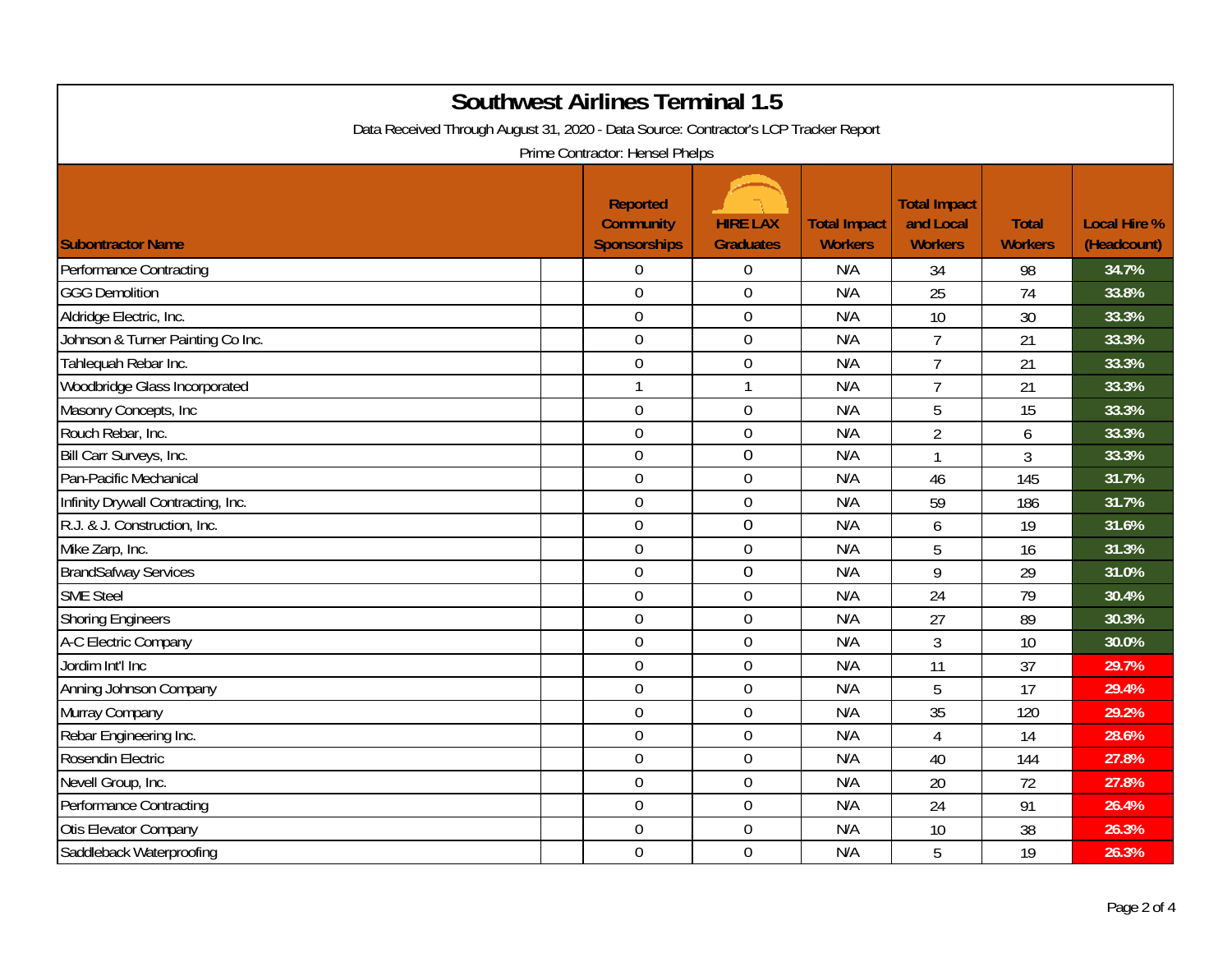| <b>Southwest Airlines Terminal 1.5</b><br>Data Received Through August 31, 2020 - Data Source: Contractor's LCP Tracker Report<br>Prime Contractor: Hensel Phelps |  |                                                            |                                     |                                       |                                                    |                                |                                    |  |
|-------------------------------------------------------------------------------------------------------------------------------------------------------------------|--|------------------------------------------------------------|-------------------------------------|---------------------------------------|----------------------------------------------------|--------------------------------|------------------------------------|--|
| <b>Subontractor Name</b>                                                                                                                                          |  | <b>Reported</b><br><b>Community</b><br><b>Sponsorships</b> | <b>HIRE LAX</b><br><b>Graduates</b> | <b>Total Impact</b><br><b>Workers</b> | <b>Total Impact</b><br>and Local<br><b>Workers</b> | <b>Total</b><br><b>Workers</b> | <b>Local Hire %</b><br>(Headcount) |  |
| <b>Performance Contracting</b>                                                                                                                                    |  | $\mathbf 0$                                                | $\boldsymbol{0}$                    | N/A                                   | 34                                                 | 98                             | 34.7%                              |  |
| <b>GGG Demolition</b>                                                                                                                                             |  | $\overline{0}$                                             | $\mathbf 0$                         | N/A                                   | 25                                                 | 74                             | 33.8%                              |  |
| Aldridge Electric, Inc.                                                                                                                                           |  | $\mathbf 0$                                                | $\mathbf 0$                         | N/A                                   | 10                                                 | 30                             | 33.3%                              |  |
| Johnson & Turner Painting Co Inc.                                                                                                                                 |  | $\mathbf 0$                                                | $\mathbf 0$                         | N/A                                   | $\overline{7}$                                     | 21                             | 33.3%                              |  |
| Tahlequah Rebar Inc.                                                                                                                                              |  | $\mathbf 0$                                                | $\mathbf 0$                         | N/A                                   | $\overline{7}$                                     | 21                             | 33.3%                              |  |
| Woodbridge Glass Incorporated                                                                                                                                     |  | $\mathbf{1}$                                               | 1                                   | N/A                                   | $\overline{7}$                                     | 21                             | 33.3%                              |  |
| Masonry Concepts, Inc                                                                                                                                             |  | $\overline{0}$                                             | $\boldsymbol{0}$                    | N/A                                   | 5                                                  | 15                             | 33.3%                              |  |
| Rouch Rebar, Inc.                                                                                                                                                 |  | $\mathbf 0$                                                | $\mathbf 0$                         | N/A                                   | $\overline{2}$                                     | 6                              | 33.3%                              |  |
| Bill Carr Surveys, Inc.                                                                                                                                           |  | $\mathbf 0$                                                | $\mathbf 0$                         | N/A                                   | $\mathbf{1}$                                       | 3                              | 33.3%                              |  |
| Pan-Pacific Mechanical                                                                                                                                            |  | $\mathbf 0$                                                | $\mathbf 0$                         | N/A                                   | 46                                                 | 145                            | 31.7%                              |  |
| Infinity Drywall Contracting, Inc.                                                                                                                                |  | $\mathbf 0$                                                | $\boldsymbol{0}$                    | N/A                                   | 59                                                 | 186                            | 31.7%                              |  |
| R.J. & J. Construction, Inc.                                                                                                                                      |  | $\boldsymbol{0}$                                           | $\boldsymbol{0}$                    | N/A                                   | 6                                                  | 19                             | 31.6%                              |  |
| Mike Zarp, Inc.                                                                                                                                                   |  | $\mathbf 0$                                                | $\mathbf 0$                         | N/A                                   | 5                                                  | 16                             | 31.3%                              |  |
| <b>BrandSafway Services</b>                                                                                                                                       |  | $\mathbf 0$                                                | $\mathbf 0$                         | N/A                                   | 9                                                  | 29                             | 31.0%                              |  |
| <b>SME Steel</b>                                                                                                                                                  |  | $\overline{0}$                                             | $\mathbf 0$                         | N/A                                   | 24                                                 | 79                             | 30.4%                              |  |
| <b>Shoring Engineers</b>                                                                                                                                          |  | $\mathbf 0$                                                | $\boldsymbol{0}$                    | N/A                                   | 27                                                 | 89                             | 30.3%                              |  |
| A-C Electric Company                                                                                                                                              |  | $\mathbf 0$                                                | $\boldsymbol{0}$                    | N/A                                   | 3                                                  | 10                             | 30.0%                              |  |
| Jordim Int'l Inc                                                                                                                                                  |  | $\mathbf 0$                                                | $\mathbf 0$                         | N/A                                   | 11                                                 | 37                             | 29.7%                              |  |
| Anning Johnson Company                                                                                                                                            |  | $\mathbf 0$                                                | $\mathbf 0$                         | N/A                                   | 5                                                  | 17                             | 29.4%                              |  |
| Murray Company                                                                                                                                                    |  | $\overline{0}$                                             | $\boldsymbol{0}$                    | N/A                                   | 35                                                 | 120                            | 29.2%                              |  |
| Rebar Engineering Inc.                                                                                                                                            |  | $\mathbf 0$                                                | $\boldsymbol{0}$                    | N/A                                   | 4                                                  | 14                             | 28.6%                              |  |
| Rosendin Electric                                                                                                                                                 |  | $\mathbf 0$                                                | $\boldsymbol{0}$                    | N/A                                   | 40                                                 | 144                            | 27.8%                              |  |
| Nevell Group, Inc.                                                                                                                                                |  | $\mathbf 0$                                                | $\mathbf 0$                         | N/A                                   | 20                                                 | 72                             | 27.8%                              |  |
| Performance Contracting                                                                                                                                           |  | $\mathbf 0$                                                | $\mathbf 0$                         | N/A                                   | 24                                                 | 91                             | 26.4%                              |  |
| Otis Elevator Company                                                                                                                                             |  | $\boldsymbol{0}$                                           | $\boldsymbol{0}$                    | N/A                                   | 10                                                 | 38                             | 26.3%                              |  |
| Saddleback Waterproofing                                                                                                                                          |  | $\overline{0}$                                             | $\mathbf 0$                         | N/A                                   | 5                                                  | 19                             | 26.3%                              |  |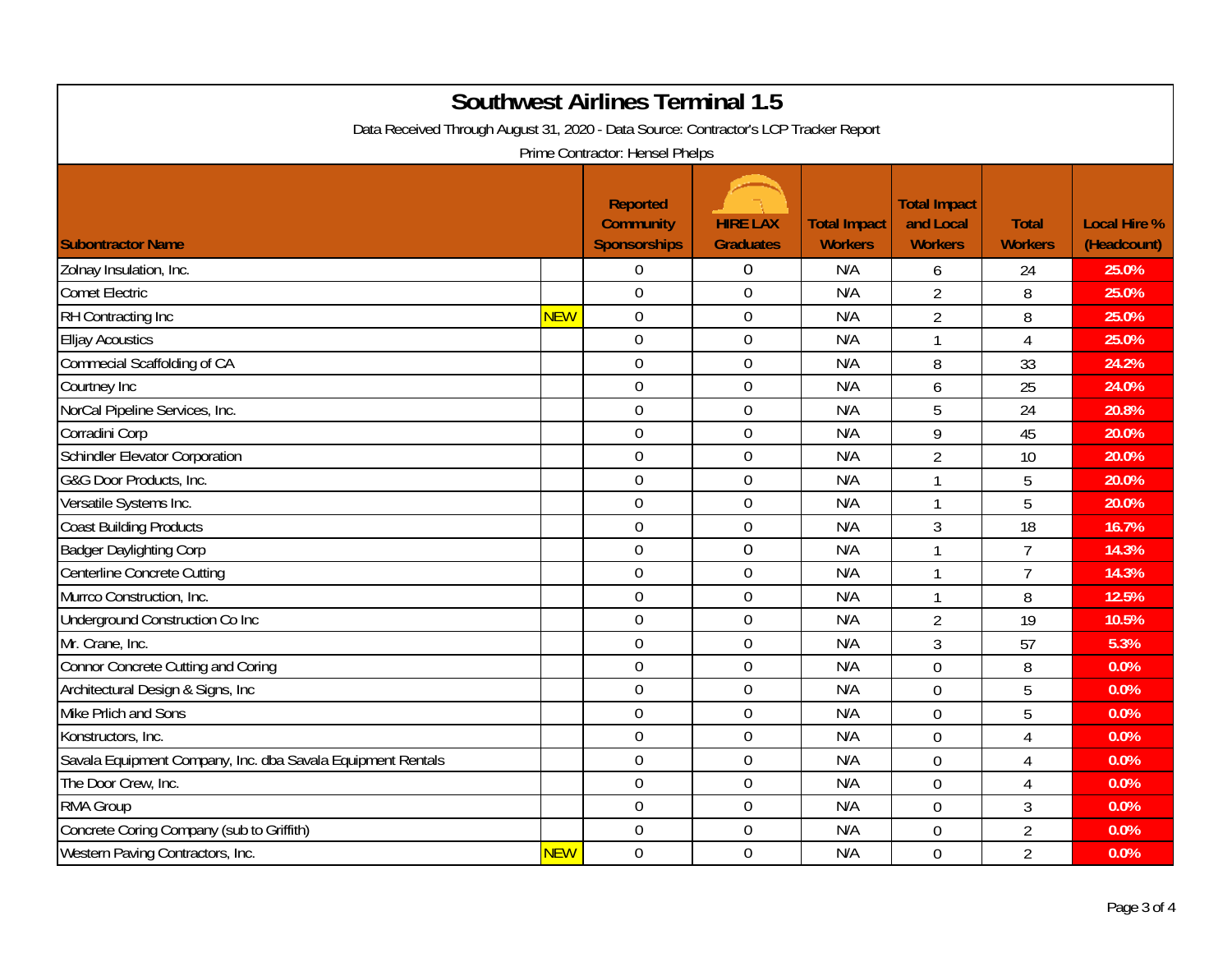| <b>Southwest Airlines Terminal 1.5</b><br>Data Received Through August 31, 2020 - Data Source: Contractor's LCP Tracker Report<br>Prime Contractor: Hensel Phelps |            |                                                     |                                     |                                       |                                                    |                                |                                    |  |
|-------------------------------------------------------------------------------------------------------------------------------------------------------------------|------------|-----------------------------------------------------|-------------------------------------|---------------------------------------|----------------------------------------------------|--------------------------------|------------------------------------|--|
| <b>Subontractor Name</b>                                                                                                                                          |            | <b>Reported</b><br><b>Community</b><br>Sponsorships | <b>HIRE LAX</b><br><b>Graduates</b> | <b>Total Impact</b><br><b>Workers</b> | <b>Total Impact</b><br>and Local<br><b>Workers</b> | <b>Total</b><br><b>Workers</b> | <b>Local Hire %</b><br>(Headcount) |  |
| Zolnay Insulation, Inc.                                                                                                                                           |            | $\boldsymbol{0}$                                    | $\boldsymbol{0}$                    | N/A                                   | 6                                                  | 24                             | 25.0%                              |  |
| <b>Comet Electric</b>                                                                                                                                             |            | $\overline{0}$                                      | $\mathbf 0$                         | N/A                                   | $\overline{2}$                                     | 8                              | 25.0%                              |  |
| RH Contracting Inc                                                                                                                                                | <b>NEW</b> | $\mathbf 0$                                         | $\mathbf 0$                         | N/A                                   | $\overline{2}$                                     | 8                              | 25.0%                              |  |
| <b>Elljay Acoustics</b>                                                                                                                                           |            | $\mathbf 0$                                         | $\mathbf 0$                         | N/A                                   | $\mathbf{1}$                                       | $\overline{4}$                 | 25.0%                              |  |
| Commecial Scaffolding of CA                                                                                                                                       |            | $\overline{0}$                                      | $\mathbf 0$                         | N/A                                   | 8                                                  | 33                             | 24.2%                              |  |
| Courtney Inc                                                                                                                                                      |            | $\mathbf 0$                                         | $\boldsymbol{0}$                    | N/A                                   | 6                                                  | 25                             | 24.0%                              |  |
| NorCal Pipeline Services, Inc.                                                                                                                                    |            | $\overline{0}$                                      | $\mathbf 0$                         | N/A                                   | 5                                                  | 24                             | 20.8%                              |  |
| Corradini Corp                                                                                                                                                    |            | $\mathbf 0$                                         | $\mathbf 0$                         | N/A                                   | 9                                                  | 45                             | 20.0%                              |  |
| Schindler Elevator Corporation                                                                                                                                    |            | $\mathbf 0$                                         | $\mathbf 0$                         | N/A                                   | $\overline{2}$                                     | 10                             | 20.0%                              |  |
| G&G Door Products, Inc.                                                                                                                                           |            | $\overline{0}$                                      | $\overline{0}$                      | N/A                                   | $\mathbf{1}$                                       | 5                              | 20.0%                              |  |
| Versatile Systems Inc.                                                                                                                                            |            | $\mathbf 0$                                         | $\boldsymbol{0}$                    | N/A                                   | $\mathbf{1}$                                       | 5                              | 20.0%                              |  |
| <b>Coast Building Products</b>                                                                                                                                    |            | $\mathbf 0$                                         | $\boldsymbol{0}$                    | N/A                                   | 3                                                  | 18                             | 16.7%                              |  |
| <b>Badger Daylighting Corp</b>                                                                                                                                    |            | $\mathbf 0$                                         | $\mathbf 0$                         | N/A                                   | $\mathbf{1}$                                       | $\overline{7}$                 | 14.3%                              |  |
| Centerline Concrete Cutting                                                                                                                                       |            | $\mathbf 0$                                         | $\boldsymbol{0}$                    | N/A                                   | 1                                                  | $\overline{7}$                 | 14.3%                              |  |
| Murrco Construction, Inc.                                                                                                                                         |            | $\overline{0}$                                      | $\boldsymbol{0}$                    | N/A                                   | $\mathbf{1}$                                       | 8                              | 12.5%                              |  |
| Underground Construction Co Inc                                                                                                                                   |            | $\overline{0}$                                      | $\mathbf 0$                         | N/A                                   | $\overline{2}$                                     | 19                             | 10.5%                              |  |
| Mr. Crane, Inc.                                                                                                                                                   |            | $\mathbf 0$                                         | $\mathbf 0$                         | N/A                                   | 3                                                  | 57                             | 5.3%                               |  |
| Connor Concrete Cutting and Coring                                                                                                                                |            | $\overline{0}$                                      | $\overline{0}$                      | N/A                                   | $\mathbf 0$                                        | 8                              | 0.0%                               |  |
| Architectural Design & Signs, Inc                                                                                                                                 |            | $\overline{0}$                                      | $\boldsymbol{0}$                    | N/A                                   | $\mathbf 0$                                        | 5                              | 0.0%                               |  |
| Mike Prlich and Sons                                                                                                                                              |            | $\mathbf 0$                                         | $\boldsymbol{0}$                    | N/A                                   | $\mathbf 0$                                        | 5                              | 0.0%                               |  |
| Konstructors, Inc.                                                                                                                                                |            | $\mathbf 0$                                         | $\boldsymbol{0}$                    | N/A                                   | $\mathbf 0$                                        | $\overline{4}$                 | 0.0%                               |  |
| Savala Equipment Company, Inc. dba Savala Equipment Rentals                                                                                                       |            | $\mathbf 0$                                         | $\boldsymbol{0}$                    | N/A                                   | $\mathbf 0$                                        | $\overline{4}$                 | 0.0%                               |  |
| The Door Crew, Inc.                                                                                                                                               |            | $\overline{0}$                                      | $\boldsymbol{0}$                    | N/A                                   | $\Omega$                                           | $\overline{4}$                 | 0.0%                               |  |
| <b>RMA Group</b>                                                                                                                                                  |            | $\overline{0}$                                      | $\mathbf 0$                         | N/A                                   | $\overline{0}$                                     | $\mathfrak{Z}$                 | 0.0%                               |  |
| Concrete Coring Company (sub to Griffith)                                                                                                                         |            | $\mathbf 0$                                         | $\boldsymbol{0}$                    | N/A                                   | $\mathbf 0$                                        | $\overline{2}$                 | 0.0%                               |  |
| Western Paving Contractors, Inc.                                                                                                                                  | <b>NEW</b> | $\overline{0}$                                      | $\overline{0}$                      | N/A                                   | $\overline{0}$                                     | $\overline{2}$                 | 0.0%                               |  |